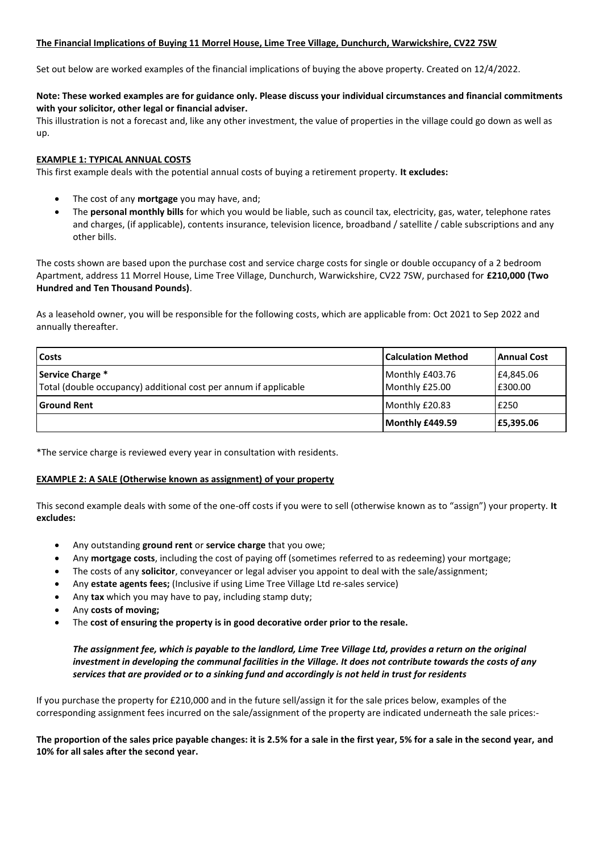## **The Financial Implications of Buying 11 Morrel House, Lime Tree Village, Dunchurch, Warwickshire, CV22 7SW**

Set out below are worked examples of the financial implications of buying the above property. Created on 12/4/2022.

## **Note: These worked examples are for guidance only. Please discuss your individual circumstances and financial commitments with your solicitor, other legal or financial adviser.**

This illustration is not a forecast and, like any other investment, the value of properties in the village could go down as well as up.

## **EXAMPLE 1: TYPICAL ANNUAL COSTS**

This first example deals with the potential annual costs of buying a retirement property. **It excludes:**

- The cost of any **mortgage** you may have, and;
- The **personal monthly bills** for which you would be liable, such as council tax, electricity, gas, water, telephone rates and charges, (if applicable), contents insurance, television licence, broadband / satellite / cable subscriptions and any other bills.

The costs shown are based upon the purchase cost and service charge costs for single or double occupancy of a 2 bedroom Apartment, address 11 Morrel House, Lime Tree Village, Dunchurch, Warwickshire, CV22 7SW, purchased for **£210,000 (Two Hundred and Ten Thousand Pounds)**.

As a leasehold owner, you will be responsible for the following costs, which are applicable from: Oct 2021 to Sep 2022 and annually thereafter.

| <b>Costs</b>                                                                         | <b>Calculation Method</b>         | Annual Cost          |
|--------------------------------------------------------------------------------------|-----------------------------------|----------------------|
| Service Charge *<br>Total (double occupancy) additional cost per annum if applicable | Monthly £403.76<br>Monthly £25.00 | E4,845.06<br>E300.00 |
| <b>Ground Rent</b>                                                                   | Monthly £20.83                    | £250                 |
|                                                                                      | Monthly £449.59                   | E5,395.06            |

\*The service charge is reviewed every year in consultation with residents.

#### **EXAMPLE 2: A SALE (Otherwise known as assignment) of your property**

This second example deals with some of the one-off costs if you were to sell (otherwise known as to "assign") your property. **It excludes:**

- Any outstanding **ground rent** or **service charge** that you owe;
- Any **mortgage costs**, including the cost of paying off (sometimes referred to as redeeming) your mortgage;
- The costs of any **solicitor**, conveyancer or legal adviser you appoint to deal with the sale/assignment;
- Any **estate agents fees;** (Inclusive if using Lime Tree Village Ltd re-sales service)
- Any **tax** which you may have to pay, including stamp duty;
- Any **costs of moving;**
- The **cost of ensuring the property is in good decorative order prior to the resale.**

# *The assignment fee, which is payable to the landlord, Lime Tree Village Ltd, provides a return on the original investment in developing the communal facilities in the Village. It does not contribute towards the costs of any services that are provided or to a sinking fund and accordingly is not held in trust for residents*

If you purchase the property for £210,000 and in the future sell/assign it for the sale prices below, examples of the corresponding assignment fees incurred on the sale/assignment of the property are indicated underneath the sale prices:-

**The proportion of the sales price payable changes: it is 2.5% for a sale in the first year, 5% for a sale in the second year, and 10% for all sales after the second year.**